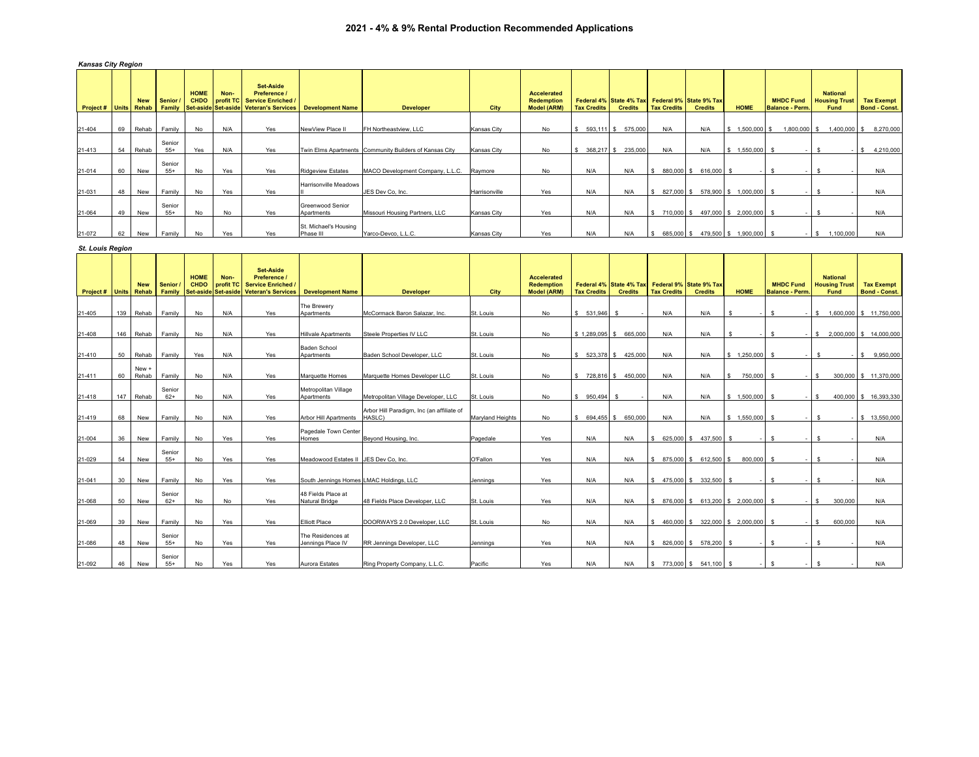## *Kansas City Region*

|                        |    | <b>New</b>   | Senior.         | <b>HOME</b><br><b>CHDO</b> | Non- | Set-Aside<br>Preference /<br>profit TC Service Enriched |                                       |                                                        |               | <b>Accelerated</b><br><b>Redemption</b> |                    | Federal 4% State 4% Tax Federal 9% State 9% Tax |                    |                       |                                  | <b>MHDC Fund</b>       | <b>National</b><br><b>Housing Trust</b> | <b>Tax Exempt</b>    |
|------------------------|----|--------------|-----------------|----------------------------|------|---------------------------------------------------------|---------------------------------------|--------------------------------------------------------|---------------|-----------------------------------------|--------------------|-------------------------------------------------|--------------------|-----------------------|----------------------------------|------------------------|-----------------------------------------|----------------------|
| <b>Project # Units</b> |    | <b>Rehab</b> |                 |                            |      | Family Set-aside Set-aside Veteran's Services           | <b>Development Name</b>               | <b>Developer</b>                                       | City          | <b>Model (ARM)</b>                      | <b>Tax Credits</b> | <b>Credits</b>                                  | <b>Tax Credits</b> | <b>Credits</b>        | <b>HOME</b>                      | <b>Balance - Perm.</b> | Fund                                    | <b>Bond - Const.</b> |
| 21-404                 | 69 | Rehab        | Family          | No                         | N/A  | Yes                                                     | NewView Place II                      | FH Northeastview, LLC                                  | Kansas City   | No                                      | 593,111 \$<br>S.   | 575,000                                         | N/A                | N/A                   | 1,500,000 \$<br>\$               | 1.800.000 \$           | 1,400,000 \$                            | 8,270,000            |
| 21-413                 | 54 | Rehab        | Senior<br>$55+$ | Yes                        | N/A  | Yes                                                     |                                       | Twin Elms Apartments Community Builders of Kansas City | Kansas City   | No                                      | 368,217 \$<br>S.   | 235,000                                         | N/A                | N/A                   | $$1,550,000$ \$                  |                        | $\sim$                                  | 4,210,000<br>s.      |
| 21-014                 | 60 | New          | Senior<br>$55+$ | No                         | Yes  | Yes                                                     | <b>Ridgeview Estates</b>              | MACO Development Company, L.L.C.                       | Raymore       | No                                      | N/A                | N/A                                             |                    | 880,000 \$ 616,000 \$ |                                  |                        |                                         | N/A                  |
| 21-031                 | 48 | New          | Family          | No                         | Yes  | Yes                                                     | Harrisonville Meadows                 | JES Dev Co, Inc.                                       | Harrisonville | Yes                                     | N/A                | N/A                                             | 827,000 \$         | 578,900 \$            | 1,000,000 \$                     |                        |                                         | N/A                  |
| 21-064                 | 49 | New          | Senior<br>$55+$ | No                         | No   | Yes                                                     | <b>Greenwood Senior</b><br>Apartments | Missouri Housing Partners, LLC                         | Kansas City   | Yes                                     | N/A                | N/A                                             | 710,000 \$         |                       | 497,000 \$ 2,000,000 \$          |                        |                                         | N/A                  |
| 21-072                 | 62 | New          | Family          | No                         | Yes  | Yes                                                     | St. Michael's Housing<br>Phase III    | Yarco-Devco, L.L.C.                                    | Kansas City   | Yes                                     | N/A                | N/A                                             |                    |                       | 685,000 \$479,500 \$1,900,000 \$ |                        | 100,000<br>- IS                         | N/A                  |

## *St. Louis Region*

| Project# | <b>Units</b> | <b>New</b><br>Rehab | Senior.<br>Family | <b>HOME</b><br><b>CHDO</b><br>Set-aside | Non-<br>profit TC<br>Set-aside | <b>Set-Aside</b><br>Preference /<br><b>Service Enriched</b><br><b>Veteran's Services</b> | <b>Development Name</b>                 | <b>Developer</b>                          | City                    | <b>Accelerated</b><br><b>Redemption</b><br><b>Model (ARM)</b> | <b>Tax Credits</b> | Federal 4% State 4% Tax<br><b>Credits</b> | <b>Tax Credits</b> | Federal 9% State 9% Tax<br><b>Credits</b> | <b>HOME</b>                            | <b>MHDC Fund</b><br><b>Balance - Perm</b> | <b>National</b><br><b>Housing Trus</b><br>Fund | <b>Tax Exempt</b><br><b>Bond - Const.</b> |
|----------|--------------|---------------------|-------------------|-----------------------------------------|--------------------------------|------------------------------------------------------------------------------------------|-----------------------------------------|-------------------------------------------|-------------------------|---------------------------------------------------------------|--------------------|-------------------------------------------|--------------------|-------------------------------------------|----------------------------------------|-------------------------------------------|------------------------------------------------|-------------------------------------------|
|          |              |                     |                   |                                         |                                |                                                                                          | The Brewery                             |                                           |                         |                                                               |                    |                                           |                    |                                           |                                        |                                           |                                                |                                           |
| 21-405   | 139          | Rehab               | Family            | No                                      | N/A                            | Yes                                                                                      | Apartments                              | McCormack Baron Salazar, Inc.             | St. Louis               | No                                                            | $$531.946$ \$      |                                           | N/A                | N/A                                       | - \$<br>$\sim$                         | s.<br>$\sim$                              | s                                              | 1,600,000 \$ 11,750,000                   |
| 21-408   | 146          | Rehab               | Family            | No                                      | N/A                            | Yes                                                                                      | <b>Hillvale Apartments</b>              | Steele Properties IV LLC                  | St. Louis               | No                                                            | $$1.289.095$ \$    | 665,000                                   | N/A                | N/A                                       | <b>S</b>                               | s<br>$\sim$                               | s                                              | 2,000,000 \$ 14,000,000                   |
| 21-410   | 50           | Rehab               | Family            | Yes                                     | N/A                            | Yes                                                                                      | Baden School<br>Apartments              | Baden School Developer, LLC               | St. Louis               | No                                                            |                    | \$ 523,378 \$ 425,000                     | N/A                | N/A                                       | $$1,250,000$ \$                        |                                           | -S                                             | \$9,950,000                               |
| 21-411   | 60           | New +<br>Rehab      | Family            | No                                      | N/A                            | Yes                                                                                      | Marquette Homes                         | Marquette Homes Developer LLC             | St. Louis               | No                                                            |                    | \$728,816 \$450,000                       | N/A                | N/A                                       | 750,000 \$<br>$\mathbb{S}$             |                                           | s                                              | 300,000 \$ 11,370,000                     |
| 21-418   | 147          | Rehab               | Senior<br>$62+$   | No                                      | N/A                            | Yes                                                                                      | Metropolitan Village<br>Apartments      | Metropolitan Village Developer, LLC       | St. Louis               | No                                                            | $$950.494$ \$      |                                           | N/A                | N/A                                       | $$1.500.000$ S                         | $\sim$                                    | s.                                             | 400.000 \$ 16.393.330                     |
| 21-419   | 68           | New                 | Family            | No                                      | N/A                            | Yes                                                                                      | Arbor Hill Apartments HASLC)            | Arbor Hill Paradigm, Inc (an affiliate of | <b>Marvland Heights</b> | No                                                            |                    | \$ 694,455 \$ 650,000                     | N/A                | N/A                                       | \$1.550.000                            | <b>S</b><br>$\sim$                        | -S                                             | \$13,550,000                              |
| 21-004   | 36           | New                 | Family            | No                                      | Yes                            | Yes                                                                                      | Pagedale Town Center<br>Homes           | Beyond Housing, Inc.                      | Pagedale                | Yes                                                           | N/A                | N/A                                       |                    | $$625,000$ \$ 437,500 \$                  |                                        | s.                                        | -S                                             | N/A                                       |
| 21-029   | 54           | New                 | Senior<br>$55+$   | No                                      | Yes                            | Yes                                                                                      | Meadowood Estates II JES Dev Co. Inc.   |                                           | O'Fallon                | Yes                                                           | N/A                | N/A                                       |                    | $$875,000$ \$612,500 \$                   | 800,000                                | s                                         | s                                              | N/A                                       |
| 21-041   | 30           | New                 | Family            | No                                      | Yes                            | Yes                                                                                      | South Jennings Homes LMAC Holdings, LLC |                                           | Jennings                | Yes                                                           | N/A                | N/A                                       |                    | \$475,000 \$332,500                       | - S<br>$\sim$                          | S.<br>$\sim$                              | -S                                             | N/A                                       |
| 21-068   | 50           | New                 | Senior<br>$62+$   | No                                      | No                             | Yes                                                                                      | 48 Fields Place at<br>Natural Bridge    | 48 Fields Place Developer, LLC            | St. Louis               | Yes                                                           | N/A                | N/A                                       |                    |                                           | $$876,000$ $$613,200$ $$2,000,000$ $$$ | $\sim$ 1                                  | 300,000<br>s.                                  | N/A                                       |
| 21-069   | 39           | New                 | Family            | No                                      | Yes                            | Yes                                                                                      | <b>Elliott Place</b>                    | DOORWAYS 2.0 Developer, LLC               | St. Louis               | No                                                            | N/A                | N/A                                       |                    |                                           | $$460,000$ $$322,000$ $$2,000,000$     | S.                                        | $-1s$<br>600,000                               | N/A                                       |
| 21-086   | 48           | New                 | Senior<br>$55+$   | No                                      | Yes                            | Yes                                                                                      | The Residences at<br>Jennings Place IV  | RR Jennings Developer, LLC                | Jennings                | Yes                                                           | N/A                | N/A                                       |                    | \$ 826,000 \$ 578,200                     | - S                                    | -S.                                       | -S                                             | N/A                                       |
| 21-092   | 46           | New                 | Senior<br>$55+$   | No                                      | Yes                            | Yes                                                                                      | Aurora Estates                          | Ring Property Company, L.L.C.             | Pacific                 | Yes                                                           | N/A                | N/A                                       |                    | $\frac{1}{2}$ \$ 773,000 \$ 541,100       | - \$                                   | s.                                        |                                                | N/A                                       |